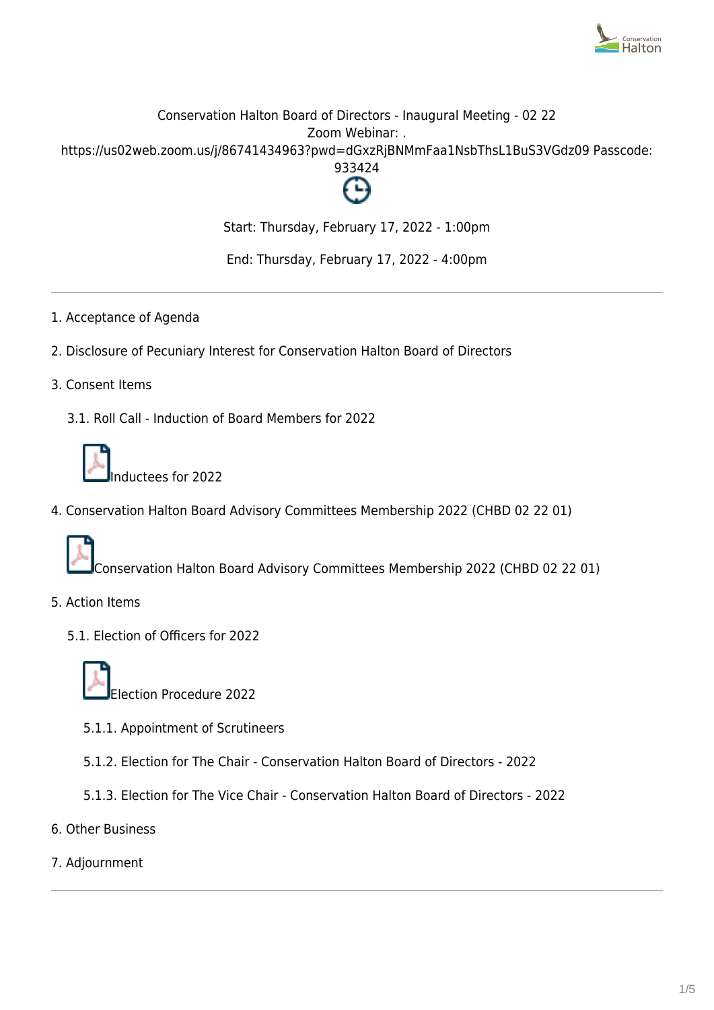

# Conservation Halton Board of Directors - Inaugural Meeting - 02 22 Zoom Webinar: . https://us02web.zoom.us/j/86741434963?pwd=dGxzRjBNMmFaa1NsbThsL1BuS3VGdz09 Passcode: 933424



Start: Thursday, February 17, 2022 - 1:00pm

End: Thursday, February 17, 2022 - 4:00pm

- 1. Acceptance of Agenda
- 2. Disclosure of Pecuniary Interest for Conservation Halton Board of Directors
- 3. Consent Items
	- 3.1. Roll Call Induction of Board Members for 2022



nductees for 2022

4. Conservation Halton Board Advisory Committees Membership 2022 (CHBD 02 22 01)



Conservation Halton Board Advisory Committees Membership 2022 (CHBD 02 22 01)

- 5. Action Items
	- 5.1. Election of Officers for 2022



Election Procedure 2022

- 5.1.1. Appointment of Scrutineers
- 5.1.2. Election for The Chair Conservation Halton Board of Directors 2022
- 5.1.3. Election for The Vice Chair Conservation Halton Board of Directors 2022
- 6. Other Business
- 7. Adjournment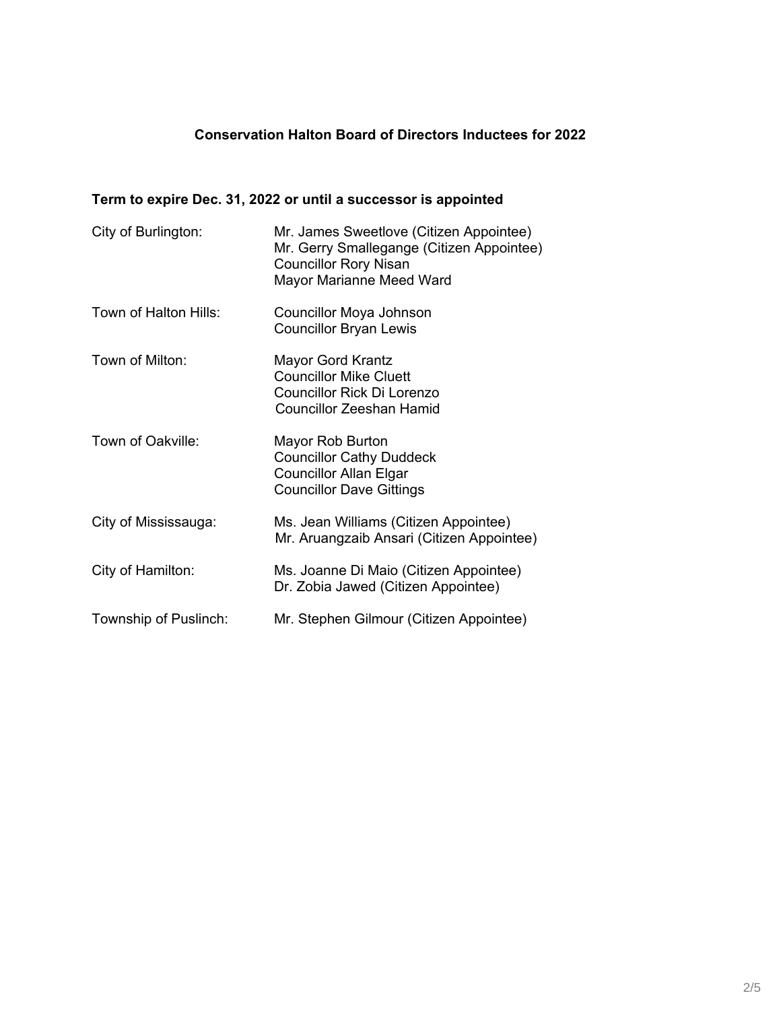# **Conservation Halton Board of Directors Inductees for 2022**

# **Term to expire Dec. 31, 2022 or until a successor is appointed**

| City of Burlington:   | Mr. James Sweetlove (Citizen Appointee)<br>Mr. Gerry Smallegange (Citizen Appointee)<br><b>Councillor Rory Nisan</b><br>Mayor Marianne Meed Ward |
|-----------------------|--------------------------------------------------------------------------------------------------------------------------------------------------|
| Town of Halton Hills: | Councillor Moya Johnson<br><b>Councillor Bryan Lewis</b>                                                                                         |
| Town of Milton:       | <b>Mayor Gord Krantz</b><br><b>Councillor Mike Cluett</b><br>Councillor Rick Di Lorenzo<br><b>Councillor Zeeshan Hamid</b>                       |
| Town of Oakville:     | Mayor Rob Burton<br><b>Councillor Cathy Duddeck</b><br><b>Councillor Allan Elgar</b><br><b>Councillor Dave Gittings</b>                          |
| City of Mississauga:  | Ms. Jean Williams (Citizen Appointee)<br>Mr. Aruangzaib Ansari (Citizen Appointee)                                                               |
| City of Hamilton:     | Ms. Joanne Di Maio (Citizen Appointee)<br>Dr. Zobia Jawed (Citizen Appointee)                                                                    |
| Township of Puslinch: | Mr. Stephen Gilmour (Citizen Appointee)                                                                                                          |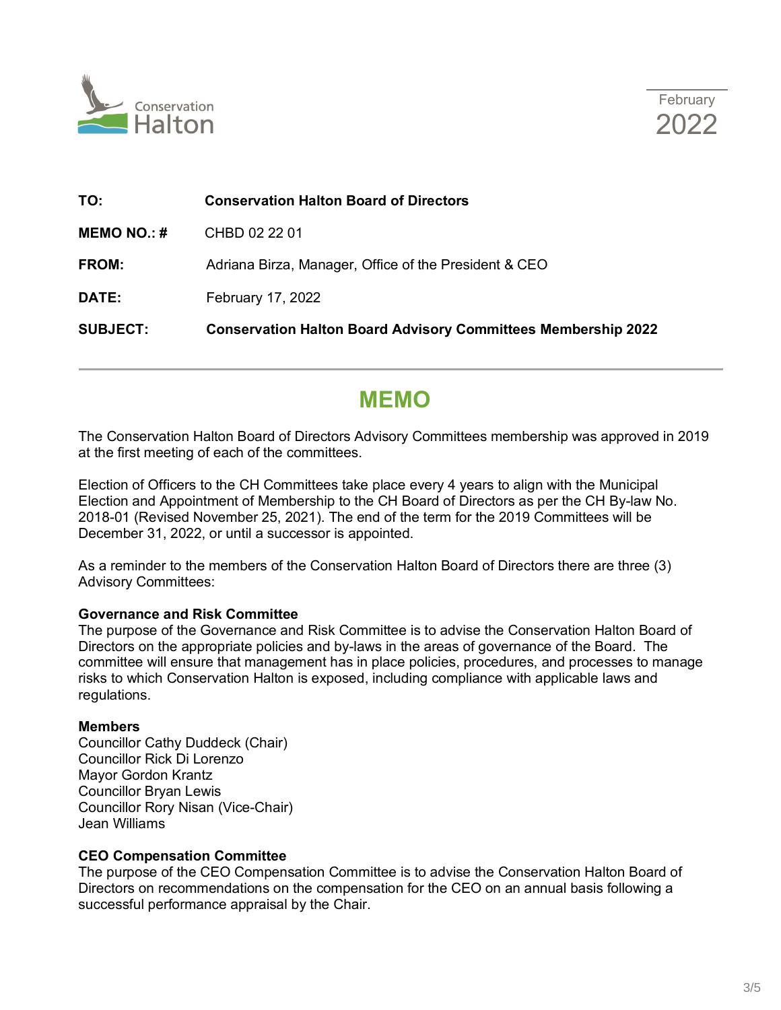



| TO:                | <b>Conservation Halton Board of Directors</b>                        |
|--------------------|----------------------------------------------------------------------|
| <b>MEMO NO.: #</b> | CHBD 02 22 01                                                        |
| <b>FROM:</b>       | Adriana Birza, Manager, Office of the President & CEO                |
| DATE:              | February 17, 2022                                                    |
| <b>SUBJECT:</b>    | <b>Conservation Halton Board Advisory Committees Membership 2022</b> |

# **MEMO**

The Conservation Halton Board of Directors Advisory Committees membership was approved in 2019 at the first meeting of each of the committees.

Election of Officers to the CH Committees take place every 4 years to align with the Municipal Election and Appointment of Membership to the CH Board of Directors as per the CH By-law No. 2018-01 (Revised November 25, 2021). The end of the term for the 2019 Committees will be December 31, 2022, or until a successor is appointed.

As a reminder to the members of the Conservation Halton Board of Directors there are three (3) Advisory Committees:

#### **Governance and Risk Committee**

The purpose of the Governance and Risk Committee is to advise the Conservation Halton Board of Directors on the appropriate policies and by-laws in the areas of governance of the Board. The committee will ensure that management has in place policies, procedures, and processes to manage risks to which Conservation Halton is exposed, including compliance with applicable laws and regulations.

#### **Members**

Councillor Cathy Duddeck (Chair) Councillor Rick Di Lorenzo Mayor Gordon Krantz Councillor Bryan Lewis Councillor Rory Nisan (Vice-Chair) Jean Williams

### **CEO Compensation Committee**

The purpose of the CEO Compensation Committee is to advise the Conservation Halton Board of Directors on recommendations on the compensation for the CEO on an annual basis following a successful performance appraisal by the Chair.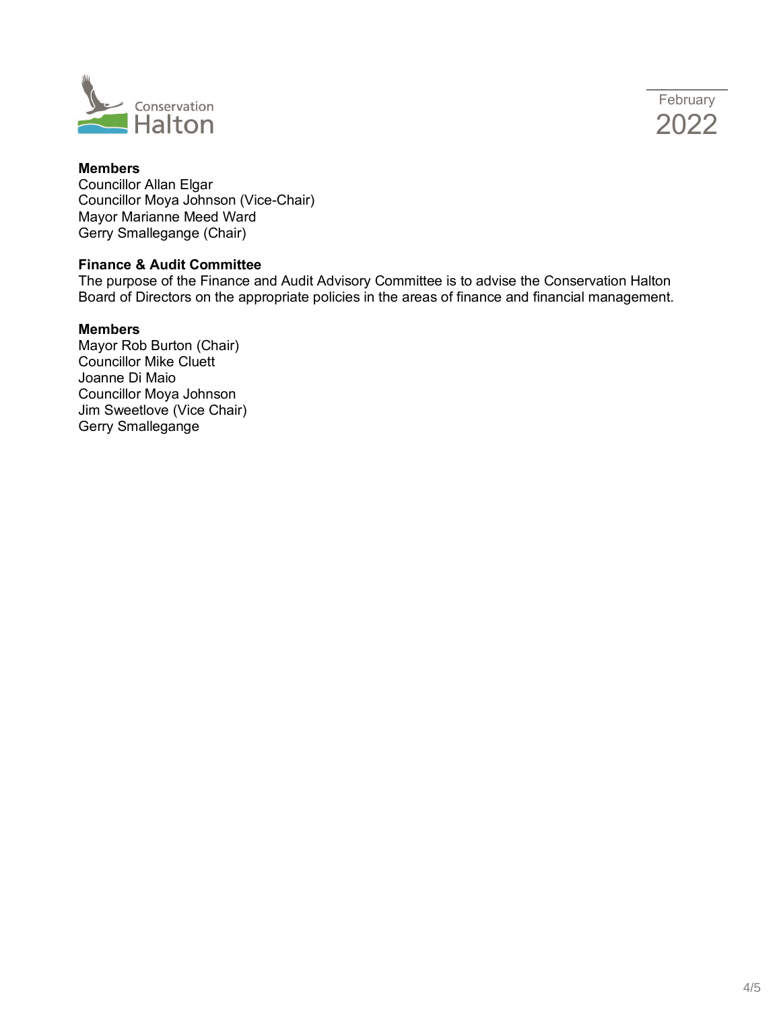



# **Members**

Councillor Allan Elgar Councillor Moya Johnson (Vice-Chair) Mayor Marianne Meed Ward Gerry Smallegange (Chair)

#### **Finance & Audit Committee**

The purpose of the Finance and Audit Advisory Committee is to advise the Conservation Halton Board of Directors on the appropriate policies in the areas of finance and financial management.

#### **Members**

Mayor Rob Burton (Chair) Councillor Mike Cluett Joanne Di Maio Councillor Moya Johnson Jim Sweetlove (Vice Chair) Gerry Smallegange